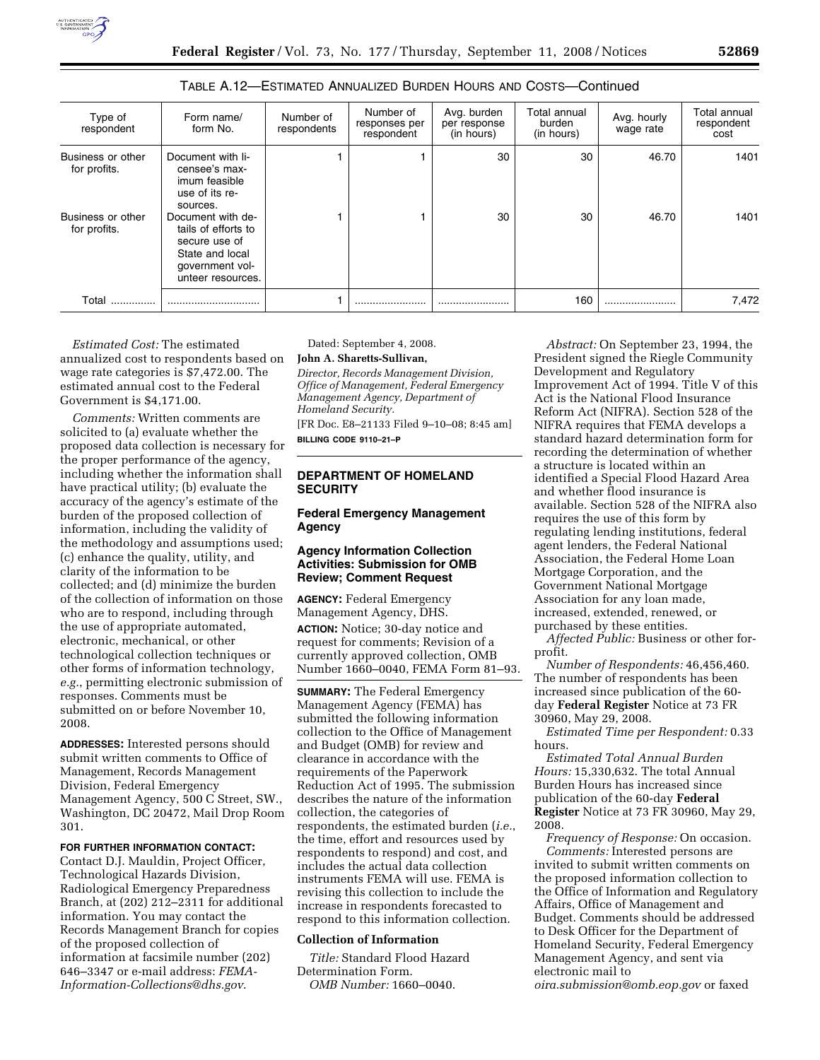

## TABLE A.12—ESTIMATED ANNUALIZED BURDEN HOURS AND COSTS—Continued

| Type of<br>respondent             | Form name/<br>form No.                                                                                               | Number of<br>respondents | Number of<br>responses per<br>respondent | Avg. burden<br>per response<br>(in hours) | Total annual<br>burden<br>(in hours) | Avg. hourly<br>wage rate | Total annual<br>respondent<br>cost |
|-----------------------------------|----------------------------------------------------------------------------------------------------------------------|--------------------------|------------------------------------------|-------------------------------------------|--------------------------------------|--------------------------|------------------------------------|
| Business or other<br>for profits. | Document with li-<br>censee's max-<br>imum feasible<br>use of its re-<br>sources.                                    |                          |                                          | 30                                        | 30                                   | 46.70                    | 1401                               |
| Business or other<br>for profits. | Document with de-<br>tails of efforts to<br>secure use of<br>State and local<br>government vol-<br>unteer resources. |                          |                                          | 30                                        | 30                                   | 46.70                    | 1401                               |
| Total                             |                                                                                                                      |                          |                                          |                                           | 160                                  |                          | 7,472                              |

*Estimated Cost:* The estimated annualized cost to respondents based on wage rate categories is \$7,472.00. The estimated annual cost to the Federal Government is \$4,171.00.

*Comments:* Written comments are solicited to (a) evaluate whether the proposed data collection is necessary for the proper performance of the agency, including whether the information shall have practical utility; (b) evaluate the accuracy of the agency's estimate of the burden of the proposed collection of information, including the validity of the methodology and assumptions used; (c) enhance the quality, utility, and clarity of the information to be collected; and (d) minimize the burden of the collection of information on those who are to respond, including through the use of appropriate automated, electronic, mechanical, or other technological collection techniques or other forms of information technology, *e.g.*, permitting electronic submission of responses. Comments must be submitted on or before November 10, 2008.

**ADDRESSES:** Interested persons should submit written comments to Office of Management, Records Management Division, Federal Emergency Management Agency, 500 C Street, SW., Washington, DC 20472, Mail Drop Room 301.

#### **FOR FURTHER INFORMATION CONTACT:**

Contact D.J. Mauldin, Project Officer, Technological Hazards Division, Radiological Emergency Preparedness Branch, at (202) 212–2311 for additional information. You may contact the Records Management Branch for copies of the proposed collection of information at facsimile number (202) 646–3347 or e-mail address: *FEMA-Information-Collections@dhs.gov*.

Dated: September 4, 2008.

**John A. Sharetts-Sullivan,** 

*Director, Records Management Division, Office of Management, Federal Emergency Management Agency, Department of Homeland Security.* 

[FR Doc. E8–21133 Filed 9–10–08; 8:45 am] **BILLING CODE 9110–21–P** 

## **DEPARTMENT OF HOMELAND SECURITY**

## **Federal Emergency Management Agency**

# **Agency Information Collection Activities: Submission for OMB Review; Comment Request**

**AGENCY:** Federal Emergency Management Agency, DHS. **ACTION:** Notice; 30-day notice and request for comments; Revision of a currently approved collection, OMB Number 1660–0040, FEMA Form 81–93.

**SUMMARY:** The Federal Emergency Management Agency (FEMA) has submitted the following information collection to the Office of Management and Budget (OMB) for review and clearance in accordance with the requirements of the Paperwork Reduction Act of 1995. The submission describes the nature of the information collection, the categories of respondents, the estimated burden (*i.e.*, the time, effort and resources used by respondents to respond) and cost, and includes the actual data collection instruments FEMA will use. FEMA is revising this collection to include the increase in respondents forecasted to respond to this information collection.

## **Collection of Information**

*Title:* Standard Flood Hazard Determination Form. *OMB Number:* 1660–0040.

*Abstract:* On September 23, 1994, the President signed the Riegle Community Development and Regulatory Improvement Act of 1994. Title V of this Act is the National Flood Insurance Reform Act (NIFRA). Section 528 of the NIFRA requires that FEMA develops a standard hazard determination form for recording the determination of whether a structure is located within an identified a Special Flood Hazard Area and whether flood insurance is available. Section 528 of the NIFRA also requires the use of this form by regulating lending institutions, federal agent lenders, the Federal National Association, the Federal Home Loan Mortgage Corporation, and the Government National Mortgage Association for any loan made, increased, extended, renewed, or purchased by these entities.

*Affected Public:* Business or other forprofit.

*Number of Respondents:* 46,456,460. The number of respondents has been increased since publication of the 60 day **Federal Register** Notice at 73 FR 30960, May 29, 2008.

*Estimated Time per Respondent:* 0.33 hours.

*Estimated Total Annual Burden Hours:* 15,330,632. The total Annual Burden Hours has increased since publication of the 60-day **Federal Register** Notice at 73 FR 30960, May 29, 2008.

*Frequency of Response:* On occasion. *Comments:* Interested persons are invited to submit written comments on the proposed information collection to the Office of Information and Regulatory Affairs, Office of Management and Budget. Comments should be addressed to Desk Officer for the Department of Homeland Security, Federal Emergency Management Agency, and sent via electronic mail to

*oira.submission@omb.eop.gov* or faxed